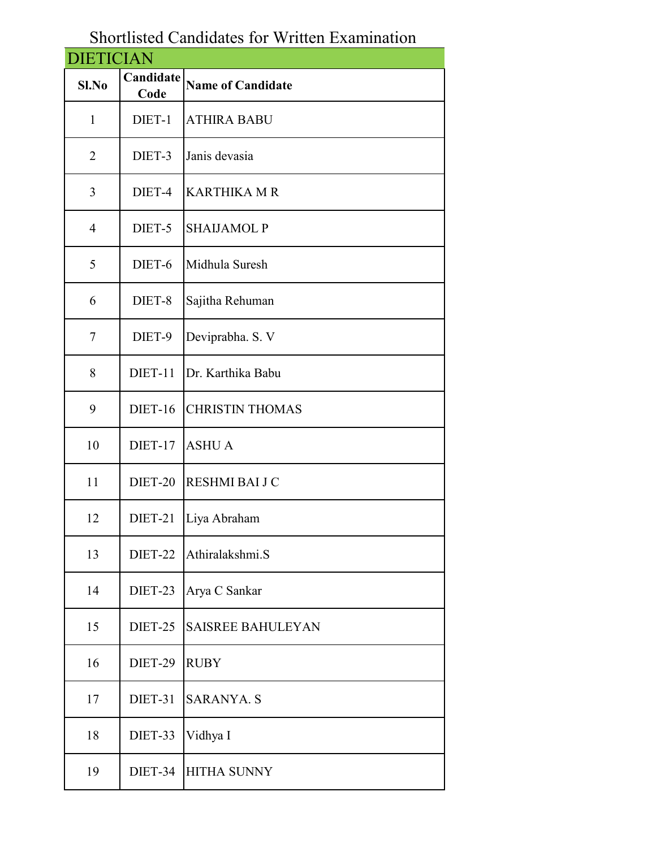## Shortlisted Candidates for Written Examination

| <b>DIETICIAN</b> |                   |                          |  |  |
|------------------|-------------------|--------------------------|--|--|
| Sl.No            | Candidate<br>Code | <b>Name of Candidate</b> |  |  |
| $\mathbf{1}$     | DIET-1            | <b>ATHIRA BABU</b>       |  |  |
| $\overline{2}$   | DIET-3            | Janis devasia            |  |  |
| 3                | DIET-4            | <b>KARTHIKA M R</b>      |  |  |
| $\overline{4}$   | DIET-5            | <b>SHAIJAMOL P</b>       |  |  |
| 5                | DIET-6            | Midhula Suresh           |  |  |
| 6                | DIET-8            | Sajitha Rehuman          |  |  |
| 7                | DIET-9            | Deviprabha. S. V         |  |  |
| 8                | DIET-11           | Dr. Karthika Babu        |  |  |
| 9                | DIET-16           | <b>CHRISTIN THOMAS</b>   |  |  |
| 10               | DIET-17           | <b>ASHUA</b>             |  |  |
| 11               | DIET-20           | RESHMI BAI J C           |  |  |
| 12               | DIET-21           | Liya Abraham             |  |  |
| 13               | DIET-22           | Athiralakshmi.S          |  |  |
| 14               | DIET-23           | Arya C Sankar            |  |  |
| 15               | DIET-25           | <b>SAISREE BAHULEYAN</b> |  |  |
| 16               | DIET-29           | <b>RUBY</b>              |  |  |
| 17               | DIET-31           | <b>SARANYA. S</b>        |  |  |
| 18               | DIET-33           | Vidhya I                 |  |  |
| 19               | DIET-34           | <b>HITHA SUNNY</b>       |  |  |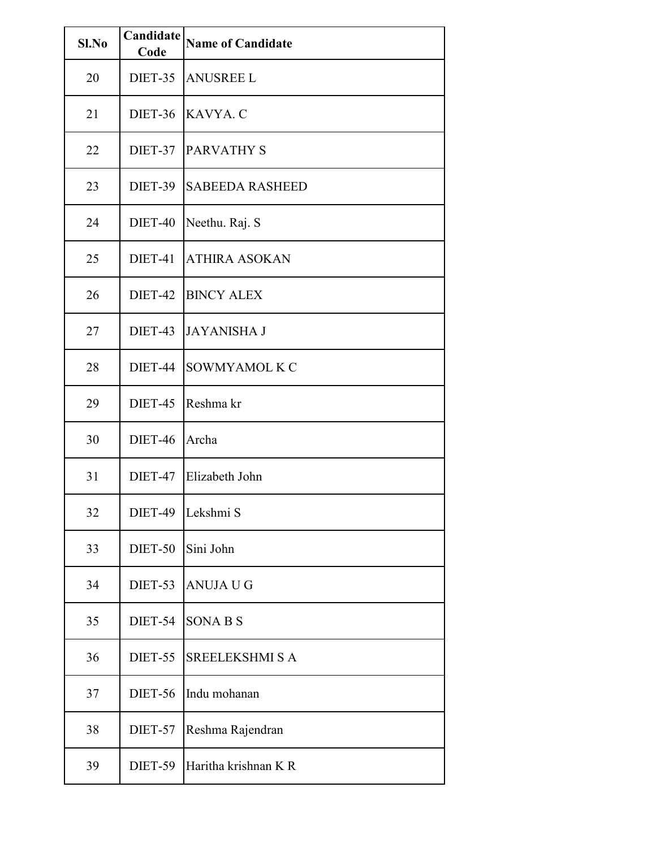| Sl.No | Candidate<br>Code | <b>Name of Candidate</b> |
|-------|-------------------|--------------------------|
| 20    | DIET-35           | <b>ANUSREE L</b>         |
| 21    | <b>DIET-36</b>    | KAVYA. C                 |
| 22    | DIET-37           | <b>PARVATHY S</b>        |
| 23    | DIET-39           | <b>SABEEDA RASHEED</b>   |
| 24    | DIET-40           | Neethu. Raj. S           |
| 25    | DIET-41           | <b>ATHIRA ASOKAN</b>     |
| 26    | DIET-42           | <b>BINCY ALEX</b>        |
| 27    | DIET-43           | <b>JAYANISHA J</b>       |
| 28    | DIET-44           | SOWMYAMOL K C            |
| 29    | DIET-45           | Reshma kr                |
| 30    | <b>DIET-46</b>    | Archa                    |
| 31    | DIET-47           | Elizabeth John           |
| 32    | DIET-49           | Lekshmi S                |
| 33    | DIET-50           | Sini John                |
| 34    | DIET-53           | <b>ANUJA U G</b>         |
| 35    | DIET-54           | <b>SONABS</b>            |
| 36    | DIET-55           | <b>SREELEKSHMI S A</b>   |
| 37    | <b>DIET-56</b>    | Indu mohanan             |
| 38    | DIET-57           | Reshma Rajendran         |
| 39    | DIET-59           | Haritha krishnan K R     |